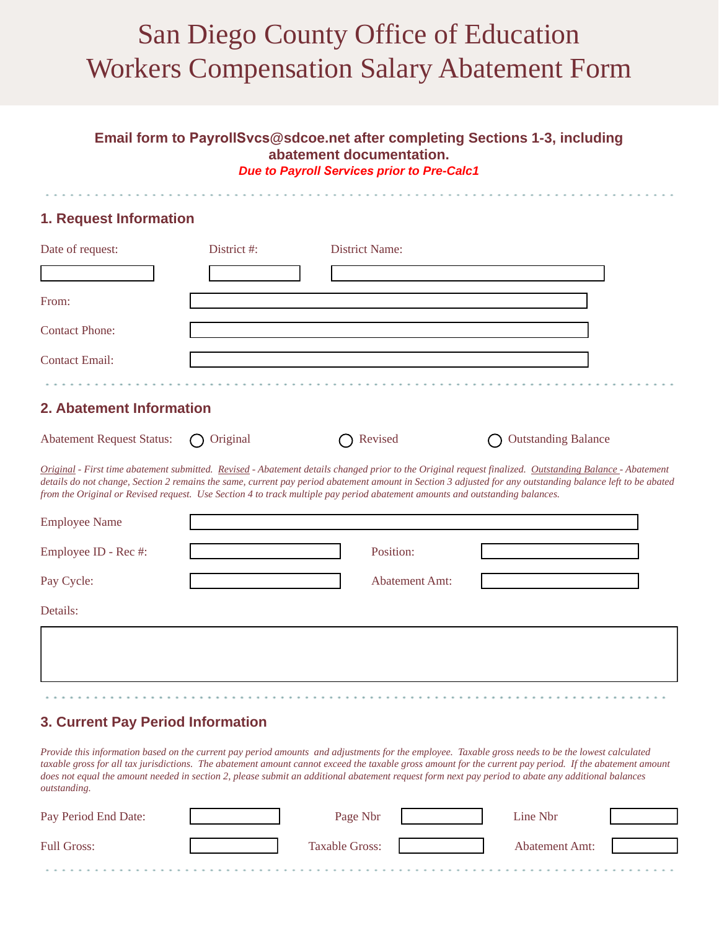# San Diego County Office of Education Workers Compensation Salary Abatement Form

#### **Email form to PayrollSvcs@sdcoe.net after completing Sections 1-3, including abatement documentation.**  *Due to Payroll Services prior to Pre-Calc1*

### **1. Request Information**

| Date of request:      | District #: | <b>District Name:</b> |  |
|-----------------------|-------------|-----------------------|--|
|                       |             |                       |  |
| From:                 |             |                       |  |
| <b>Contact Phone:</b> |             |                       |  |
| <b>Contact Email:</b> |             |                       |  |
|                       |             |                       |  |

#### **2. Abatement Information**

| Abatement Request Status: $\bigcap$ Original |  | $\bigcap$ Revised | ◯ Outstanding Balance |
|----------------------------------------------|--|-------------------|-----------------------|
|----------------------------------------------|--|-------------------|-----------------------|

*Original - First time abatement submitted. Revised - Abatement details changed prior to the Original request finalized. Outstanding Balance - Abatement details do not change, Section 2 remains the same, current pay period abatement amount in Section 3 adjusted for any outstanding balance left to be abated from the Original or Revised request. Use Section 4 to track multiple pay period abatement amounts and outstanding balances.*

| <b>Employee Name</b> |                       |  |
|----------------------|-----------------------|--|
| Employee ID - Rec #: | Position:             |  |
| Pay Cycle:           | <b>Abatement Amt:</b> |  |
| Details:             |                       |  |
|                      |                       |  |
|                      |                       |  |

## **3. Current Pay Period Information**

*Provide this information based on the current pay period amounts and adjustments for the employee. Taxable gross needs to be the lowest calculated*  taxable gross for all tax jurisdictions. The abatement amount cannot exceed the taxable gross amount for the current pay period. If the abatement amount *does not equal the amount needed in section 2, please submit an additional abatement request form next pay period to abate any additional balances outstanding.*

| Pay Period End Date: | Page Nbr              | Line Nbr              |  |
|----------------------|-----------------------|-----------------------|--|
| <b>Full Gross:</b>   | <b>Taxable Gross:</b> | <b>Abatement Amt:</b> |  |